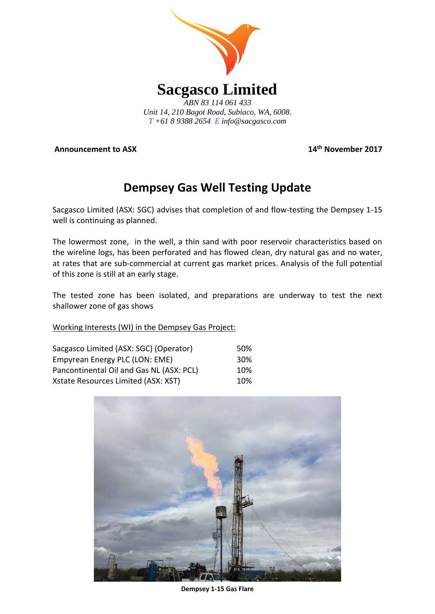

**Announcement to ASX** 

**th November 2017**

# **Dempsey Gas Well Testing Update**

Sacgasco Limited (ASX: SGC) advises that completion of and flow-testing the Dempsey 1-15 well is continuing as planned.

The lowermost zone, in the well, a thin sand with poor reservoir characteristics based on the wireline logs, has been perforated and has flowed clean, dry natural gas and no water, at rates that are sub-commercial at current gas market prices. Analysis of the full potential of this zone is still at an early stage.

The tested zone has been isolated, and preparations are underway to test the next shallower zone of gas shows

# Working Interests (WI) in the Dempsey Gas Project:

| Sacgasco Limited (ASX: SGC) (Operator)   | .50% |
|------------------------------------------|------|
| Empyrean Energy PLC (LON: EME)           | 30%  |
| Pancontinental Oil and Gas NL (ASX: PCL) | 10%  |
| Xstate Resources Limited (ASX: XST)      | 10%  |



**Dempsey 1-15 Gas Flare**